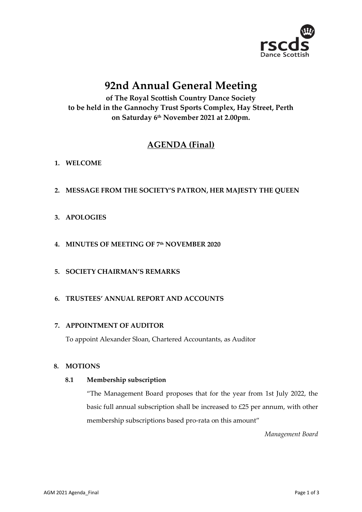

# **92nd Annual General Meeting**

**of The Royal Scottish Country Dance Society to be held in the Gannochy Trust Sports Complex, Hay Street, Perth on Saturday 6 th November 2021 at 2.00pm.**

# **AGENDA (Final)**

# **1. WELCOME**

**2. MESSAGE FROM THE SOCIETY'S PATRON, HER MAJESTY THE QUEEN**

# **3. APOLOGIES**

- **4. MINUTES OF MEETING OF 7 th NOVEMBER 2020**
- **5. SOCIETY CHAIRMAN'S REMARKS**
- **6. TRUSTEES' ANNUAL REPORT AND ACCOUNTS**

#### **7. APPOINTMENT OF AUDITOR**

To appoint Alexander Sloan, Chartered Accountants, as Auditor

#### **8. MOTIONS**

#### **8.1 Membership subscription**

"The Management Board proposes that for the year from 1st July 2022, the basic full annual subscription shall be increased to £25 per annum, with other membership subscriptions based pro-rata on this amount"

*Management Board*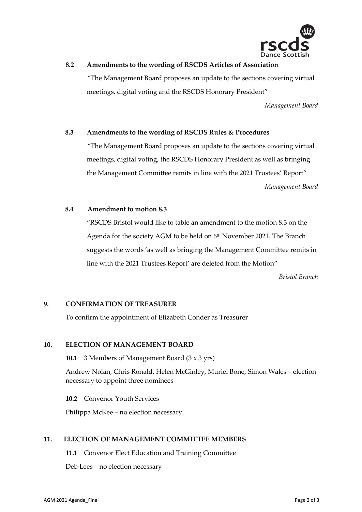

### **8.2 Amendments to the wording of RSCDS Articles of Association**

"The Management Board proposes an update to the sections covering virtual meetings, digital voting and the RSCDS Honorary President"

*Management Board*

#### **8.3 Amendments to the wording of RSCDS Rules & Procedures**

"The Management Board proposes an update to the sections covering virtual meetings, digital voting, the RSCDS Honorary President as well as bringing the Management Committee remits in line with the 2021 Trustees' Report"

*Management Board*

#### **8.4 Amendment to motion 8.3**

"RSCDS Bristol would like to table an amendment to the motion 8.3 on the Agenda for the society AGM to be held on 6<sup>th</sup> November 2021. The Branch suggests the words 'as well as bringing the Management Committee remits in line with the 2021 Trustees Report' are deleted from the Motion"

*Bristol Branch*

#### **9. CONFIRMATION OF TREASURER**

To confirm the appointment of Elizabeth Conder as Treasurer

#### **10. ELECTION OF MANAGEMENT BOARD**

**10.1** 3 Members of Management Board (3 x 3 yrs)

Andrew Nolan, Chris Ronald, Helen McGinley, Muriel Bone, Simon Wales – election necessary to appoint three nominees

**10.2** Convenor Youth Services

Philippa McKee – no election necessary

#### **11. ELECTION OF MANAGEMENT COMMITTEE MEMBERS**

**11.1** Convenor Elect Education and Training Committee

Deb Lees – no election necessary